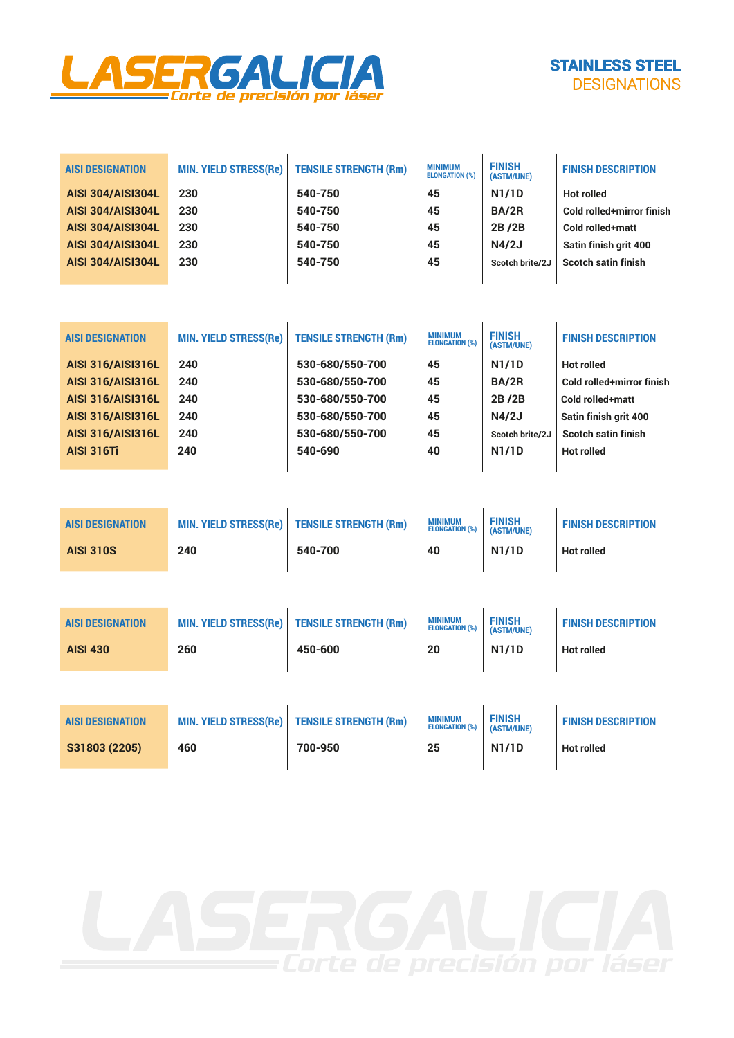



| <b>AISI DESIGNATION</b>  | <b>MIN. YIELD STRESS(Re)</b> | <b>TENSILE STRENGTH (Rm)</b> | <b>MINIMUM</b><br><b>ELONGATION (%)</b> | <b>FINISH</b><br>(ASTM/UNE) | <b>FINISH DESCRIPTION</b> |
|--------------------------|------------------------------|------------------------------|-----------------------------------------|-----------------------------|---------------------------|
| <b>AISI 304/AISI304L</b> | 230                          | 540-750                      | 45                                      | <b>N1/1D</b>                | <b>Hot rolled</b>         |
| <b>AISI 304/AISI304L</b> | 230                          | 540-750                      | 45                                      | BA/2R                       | Cold rolled+mirror finish |
| <b>AISI 304/AISI304L</b> | 230                          | 540-750                      | 45                                      | 2B/2B                       | Cold rolled+matt          |
| <b>AISI 304/AISI304L</b> | 230                          | 540-750                      | 45                                      | N4/2J                       | Satin finish grit 400     |
| <b>AISI 304/AISI304L</b> | 230                          | 540-750                      | 45                                      | Scotch brite/2J             | Scotch satin finish       |
|                          |                              |                              |                                         |                             |                           |

| <b>AISI DESIGNATION</b>  | <b>MIN. YIELD STRESS(Re)</b> | <b>TENSILE STRENGTH (Rm)</b> | <b>MINIMUM</b><br><b>ELONGATION (%)</b> | <b>FINISH</b><br>(ASTM/UNE) | <b>FINISH DESCRIPTION</b> |
|--------------------------|------------------------------|------------------------------|-----------------------------------------|-----------------------------|---------------------------|
| <b>AISI 316/AISI316L</b> | 240                          | 530-680/550-700              | 45                                      | <b>N1/1D</b>                | <b>Hot rolled</b>         |
| <b>AISI 316/AISI316L</b> | 240                          | 530-680/550-700              | 45                                      | BA/2R                       | Cold rolled+mirror finish |
| <b>AISI 316/AISI316L</b> | 240                          | 530-680/550-700              | 45                                      | 2B/2B                       | Cold rolled+matt          |
| <b>AISI 316/AISI316L</b> | 240                          | 530-680/550-700              | 45                                      | N4/2J                       | Satin finish grit 400     |
| <b>AISI 316/AISI316L</b> | 240                          | 530-680/550-700              | 45                                      | Scotch brite/2J             | Scotch satin finish       |
| <b>AISI 316Ti</b>        | 240                          | 540-690                      | 40                                      | <b>N1/1D</b>                | <b>Hot rolled</b>         |
|                          |                              |                              |                                         |                             |                           |

| <b>AISI DESIGNATION</b><br><b>AISI 310S</b> | <b>MIN. YIELD STRESS(Re)</b><br>240 | <b>TENSILE STRENGTH (Rm)</b><br>540-700 | <b>MINIMUM</b><br><b>ELONGATION (%)</b><br>40 | <b>FINISH</b><br>(ASTM/UNE)<br><b>N1/1D</b> | <b>FINISH DESCRIPTION</b><br><b>Hot rolled</b> |
|---------------------------------------------|-------------------------------------|-----------------------------------------|-----------------------------------------------|---------------------------------------------|------------------------------------------------|
|                                             |                                     |                                         |                                               |                                             |                                                |

| <b>AISI DESIGNATION</b> | <b>MIN. YIELD STRESS(Re)</b> | <b>TENSILE STRENGTH (Rm)</b> | <b>MINIMUM</b><br><b>ELONGATION (%)</b> | <b>FINISH</b><br>(ASTM/UNE) | <b>FINISH DESCRIPTION</b> |
|-------------------------|------------------------------|------------------------------|-----------------------------------------|-----------------------------|---------------------------|
| <b>AISI 430</b>         | 260                          | 450-600                      | 20                                      | <b>N1/1D</b>                | Hot rolled                |
|                         |                              |                              |                                         |                             |                           |

| <b>AISI DESIGNATION</b> | <b>MIN. YIELD STRESS(Re)</b> | <b>TENSILE STRENGTH (Rm)</b> | <b>MINIMUM</b><br><b>ELONGATION (%)</b> | <b>FINISH</b><br>(ASTM/UNE) | <b>FINISH DESCRIPTION</b> |
|-------------------------|------------------------------|------------------------------|-----------------------------------------|-----------------------------|---------------------------|
| S31803 (2205)           | 460                          | 700-950                      | 25                                      | <b>N1/1D</b>                | Hot rolled                |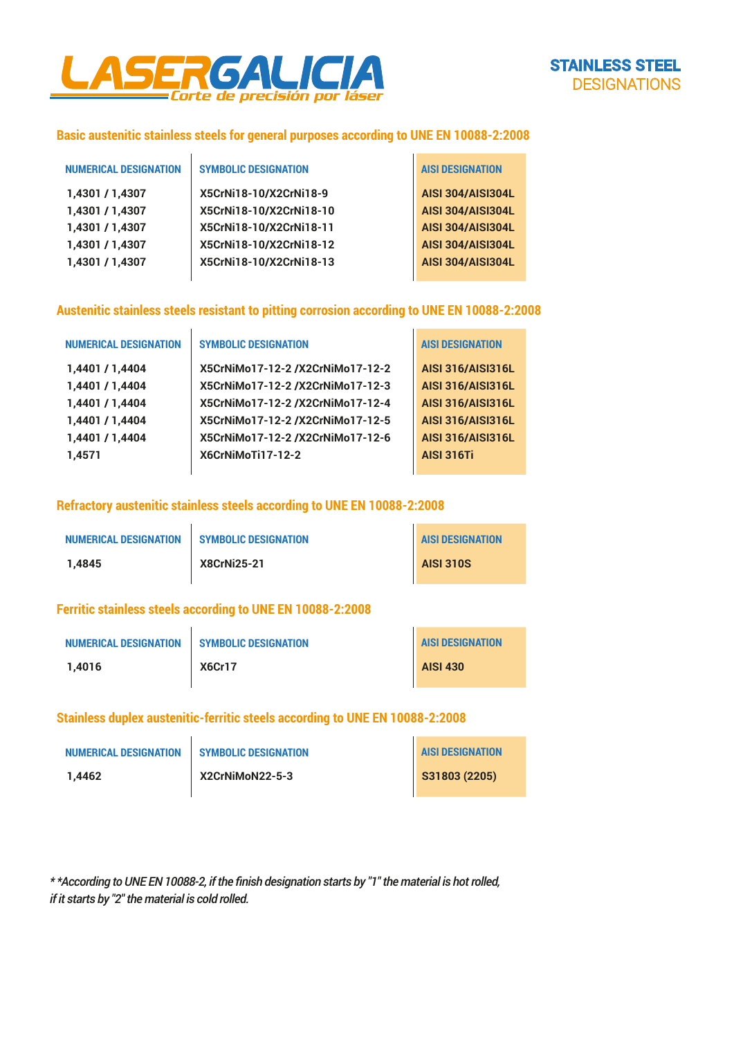

# **Basic austenitic stainless steels for general purposes according to UNE EN 10088-2:2008**

 $\mathbf{r}$ 

| <b>NUMERICAL DESIGNATION</b> | <b>SYMBOLIC DESIGNATION</b> | <b>AISI DESIGNATION</b>  |
|------------------------------|-----------------------------|--------------------------|
| 1,4301 / 1,4307              | X5CrNi18-10/X2CrNi18-9      | <b>AISI 304/AISI304L</b> |
| 1,4301 / 1,4307              | X5CrNi18-10/X2CrNi18-10     | <b>AISI 304/AISI304L</b> |
| 1,4301 / 1,4307              | X5CrNi18-10/X2CrNi18-11     | <b>AISI 304/AISI304L</b> |
| 1,4301 / 1,4307              | X5CrNi18-10/X2CrNi18-12     | <b>AISI 304/AISI304L</b> |
| 1,4301 / 1,4307              | X5CrNi18-10/X2CrNi18-13     | <b>AISI 304/AISI304L</b> |
|                              |                             |                          |

### **Austenitic stainless steels resistant to pitting corrosion according to UNE EN 10088-2:2008**

| <b>NUMERICAL DESIGNATION</b> | <b>SYMBOLIC DESIGNATION</b>      | <b>AISI DESIGNATION</b>  |
|------------------------------|----------------------------------|--------------------------|
| 1,4401 / 1,4404              | X5CrNiMo17-12-2 /X2CrNiMo17-12-2 | <b>AISI 316/AISI316L</b> |
| 1,4401 / 1,4404              | X5CrNiMo17-12-2/X2CrNiMo17-12-3  | <b>AISI 316/AISI316L</b> |
| 1,4401 / 1,4404              | X5CrNiMo17-12-2 /X2CrNiMo17-12-4 | <b>AISI 316/AISI316L</b> |
| 1,4401 / 1,4404              | X5CrNiMo17-12-2 /X2CrNiMo17-12-5 | <b>AISI 316/AISI316L</b> |
| 1,4401 / 1,4404              | X5CrNiMo17-12-2 /X2CrNiMo17-12-6 | <b>AISI 316/AISI316L</b> |
| 1.4571                       | X6CrNiMoTi17-12-2                | <b>AISI 316Ti</b>        |
|                              |                                  |                          |

#### **Refractory austenitic stainless steels according to UNE EN 10088-2:2008**

| <b>NUMERICAL DESIGNATION</b> | <b>SYMBOLIC DESIGNATION</b> | <b>AISI DESIGNATION</b> |
|------------------------------|-----------------------------|-------------------------|
| 1.4845                       | <b>X8CrNi25-21</b>          | <b>AISI 310S</b>        |

#### **Ferritic stainless steels according to UNE EN 10088-2:2008**

| <b>NUMERICAL DESIGNATION</b> | <b>SYMBOLIC DESIGNATION</b> | <b>AISI DESIGNATION</b> |
|------------------------------|-----------------------------|-------------------------|
| 1.4016                       | <b>X6Cr17</b>               | <b>AISI 430</b>         |

## **Stainless duplex austenitic-ferritic steels according to UNE EN 10088-2:2008**

| <b>NUMERICAL DESIGNATION</b> | <b>SYMBOLIC DESIGNATION</b> | <b>AISI DESIGNATION</b> |
|------------------------------|-----------------------------|-------------------------|
| 1.4462                       | X2CrNiMoN22-5-3             | S31803 (2205)           |

*\* \*According to UNE EN 10088-2, if the finish designation starts by "1" the material is hot rolled, if it starts by "2" the material is cold rolled.*